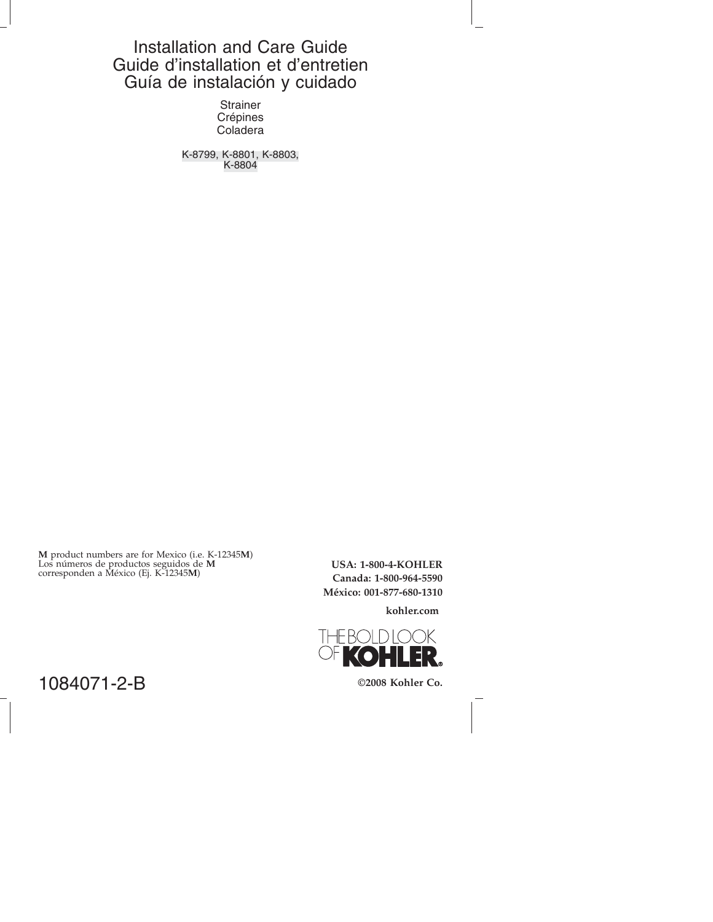# Installation and Care Guide Guide d'installation et d'entretien Guía de instalación y cuidado

Strainer Crépines Coladera

K-8799, K-8801, K-8803, K-8804

**M** product numbers are for Mexico (i.e. K-12345**M**) Los números de productos seguidos de **M** corresponden a México (Ej. K-12345**M**)

**USA: 1-800-4-KOHLER Canada: 1-800-964-5590 México: 001-877-680-1310**

**kohler.com**



1084071-2-B **©2008 Kohler Co.**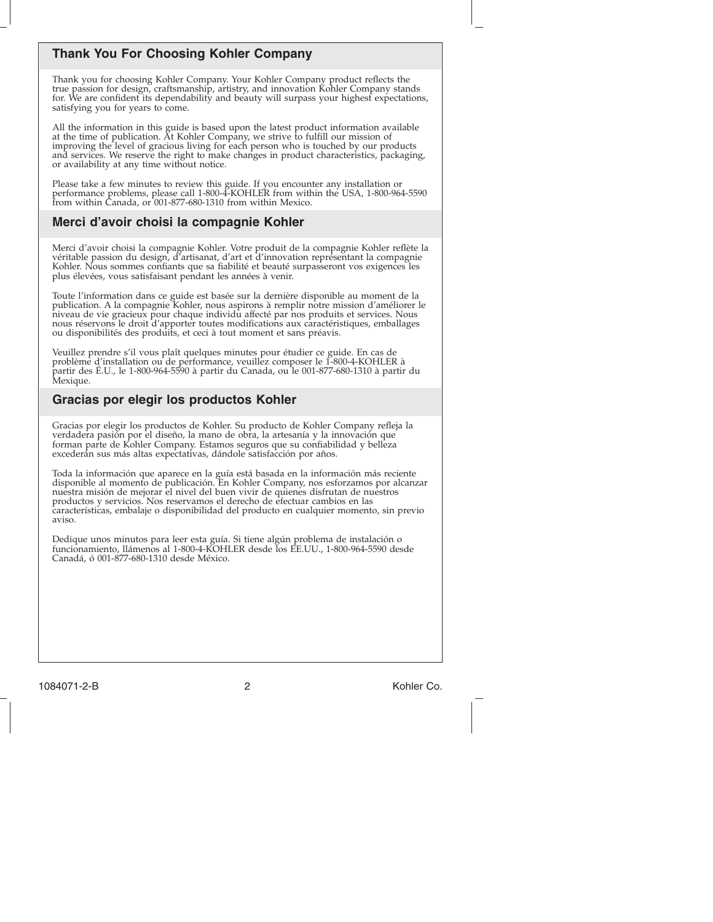# **Thank You For Choosing Kohler Company**

Thank you for choosing Kohler Company. Your Kohler Company product reflects the true passion for design, craftsmanship, artistry, and innovation Kohler Company stands for. We are confident its dependability and beauty will surpass your highest expectations, satisfying you for years to come.

All the information in this guide is based upon the latest product information available at the time of publication. At Kohler Company, we strive to fulfill our mission of improving the level of gracious living for each person who is touched by our products and services. We reserve the right to make changes in product characteristics, packaging, or availability at any time without notice.

Please take a few minutes to review this guide. If you encounter any installation or<br>performance problems, please call 1-800-4-KOHLER from within the USA, 1-800-964-5590<br>from within Canada, or 001-877-680-1310 from within

### **Merci d'avoir choisi la compagnie Kohler**

Merci d'avoir choisi la compagnie Kohler. Votre produit de la compagnie Kohler reflète la véritable passion du design, d'artisanat, d'art et d'innovation représentant la compagnie Kohler. Nous sommes confiants que sa fiabilité et beauté surpasseront vos exigences les plus élevées, vous satisfaisant pendant les années à venir.

Toute l'information dans ce guide est basée sur la dernière disponible au moment de la publication. A la compagnie Kohler, nous aspirons à remplir notre mission d'améliorer le niveau de vie gracieux pour chaque individu affecté par nos produits et services. Nous nous réservons le droit d'apporter toutes modifications aux caractéristiques, emballages ou disponibilités des produits, et ceci à tout moment et sans préavis.

Veuillez prendre s'il vous plaît quelques minutes pour étudier ce guide. En cas de problème d'installation ou de performance, veuillez composer le 1-800-4-KOHLER à partir des É.U., le 1-800-964-5590 à partir du Canada, ou le 001-877-680-1310 à partir du Mexique.

### **Gracias por elegir los productos Kohler**

Gracias por elegir los productos de Kohler. Su producto de Kohler Company refleja la verdadera pasión por el diseño, la mano de obra, la artesanía y la innovación que forman parte de Kohler Company. Estamos seguros que su confiabilidad y belleza excederán sus más altas expectativas, dándole satisfacción por años.

Toda la información que aparece en la guía está basada en la información más reciente disponible al momento de publicación. En Kohler Company, nos esforzamos por alcanzar nuestra misión de mejorar el nivel del buen vivir de quienes disfrutan de nuestros productos y servicios. Nos reservamos el derecho de efectuar cambios en las características, embalaje o disponibilidad del producto en cualquier momento, sin previo aviso.

Dedique unos minutos para leer esta guía. Si tiene algún problema de instalación o funcionamiento, llámenos al 1-800-4-KOHLER desde los EE.UU., 1-800-964-5590 desde Canadá, ó 001-877-680-1310 desde México.

1084071-2-B 2 Kohler Co.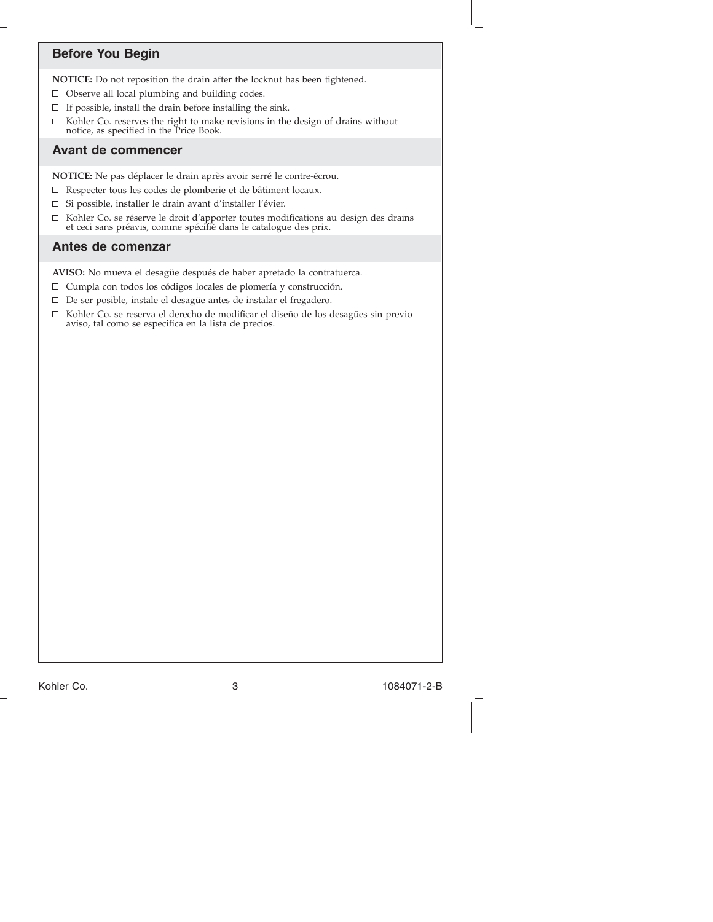# **Before You Begin NOTICE:** Do not reposition the drain after the locknut has been tightened.  $\Box$  Observe all local plumbing and building codes.  $\Box$  If possible, install the drain before installing the sink.  $\Box$ Kohler Co. reserves the right to make revisions in the design of drains without notice, as specified in the Price Book. **Avant de commencer NOTICE:** Ne pas déplacer le drain après avoir serré le contre-écrou. Respecter tous les codes de plomberie et de bâtiment locaux.  $\square$  Si possible, installer le drain avant d'installer l'évier. Kohler Co. se réserve le droit d'apporter toutes modifications au design des drains et ceci sans préavis, comme spécifié dans le catalogue des prix. **Antes de comenzar AVISO:** No mueva el desagüe después de haber apretado la contratuerca.  $\Box~$  Cumpla con todos los códigos locales de plomería y construcción.  $\Box$  De ser posible, instale el desagüe antes de instalar el fregadero. Kohler Co. se reserva el derecho de modificar el diseño de los desagües sin previo aviso, tal como se especifica en la lista de precios.

Kohler Co. 3 1084071-2-B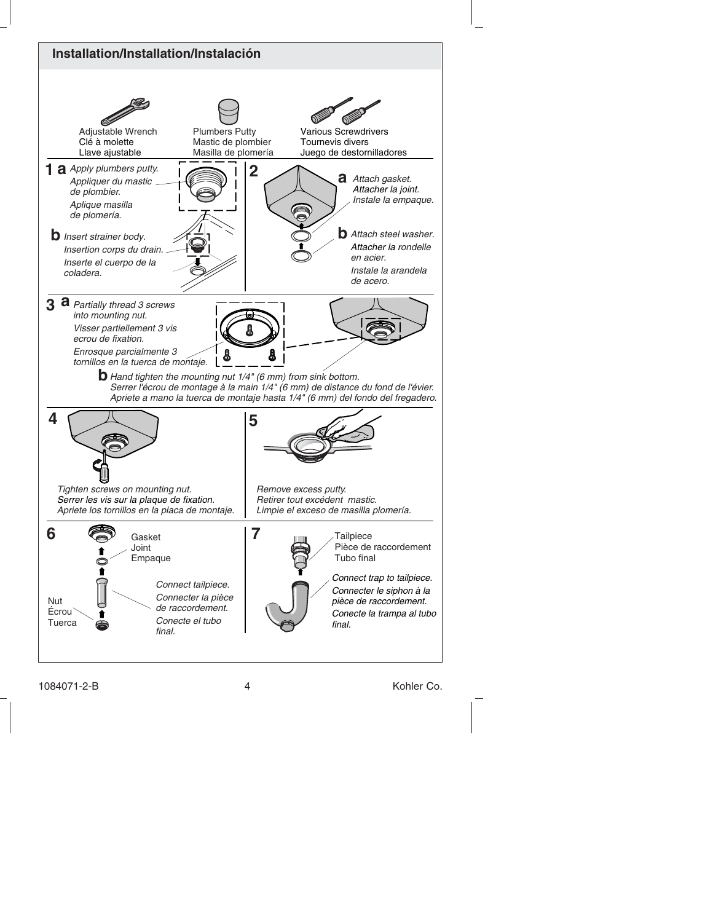

1084071-2-B 4 Kohler Co.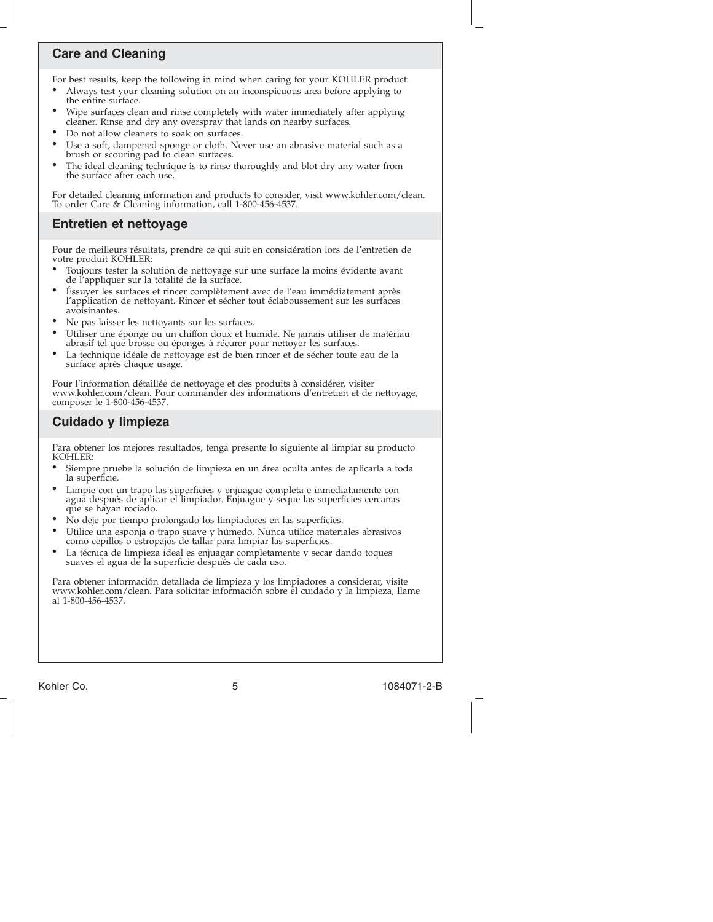# **Care and Cleaning** For best results, keep the following in mind when caring for your KOHLER product: • Always test your cleaning solution on an inconspicuous area before applying to the entire surface. • Wipe surfaces clean and rinse completely with water immediately after applying cleaner. Rinse and dry any overspray that lands on nearby surfaces. • Do not allow cleaners to soak on surfaces. • Use a soft, dampened sponge or cloth. Never use an abrasive material such as a brush or scouring pad to clean surfaces. The ideal cleaning technique is to rinse thoroughly and blot dry any water from the surface after each use.

For detailed cleaning information and products to consider, visit www.kohler.com/clean. To order Care & Cleaning information, call 1-800-456-4537.

# **Entretien et nettoyage**

Pour de meilleurs résultats, prendre ce qui suit en considération lors de l'entretien de votre produit KOHLER:

- Toujours tester la solution de nettoyage sur une surface la moins évidente avant de l'appliquer sur la totalité de la surface.
- Éssuyer les surfaces et rincer complètement avec de l'eau immédiatement après l'application de nettoyant. Rincer et sécher tout éclaboussement sur les surfaces avoisinantes.
- Ne pas laisser les nettoyants sur les surfaces.<br>• Itilicar une éponge ou un chiffon doux et bu
- Utiliser une éponge ou un chiffon doux et humide. Ne jamais utiliser de matériau abrasif tel que brosse ou éponges à récurer pour nettoyer les surfaces.
- La technique idéale de nettoyage est de bien rincer et de sécher toute eau de la surface après chaque usage.

Pour l'information détaillée de nettoyage et des produits à considérer, visiter www.kohler.com/clean. Pour commander des informations d'entretien et de nettoyage, composer le 1-800-456-4537.

# **Cuidado y limpieza**

Para obtener los mejores resultados, tenga presente lo siguiente al limpiar su producto KOHLER:

- Siempre pruebe la solución de limpieza en un área oculta antes de aplicarla a toda la superficie.
- Limpie con un trapo las superficies y enjuague completa e inmediatamente con agua después de aplicar el limpiador. Enjuague y seque las superficies cercanas que se hayan rociado.
- No deje por tiempo prolongado los limpiadores en las superficies.
- Utilice una esponja o trapo suave y húmedo. Nunca utilice materiales abrasivos como cepillos o estropajos de tallar para limpiar las superficies.
- La técnica de limpieza ideal es enjuagar completamente y secar dando toques suaves el agua de la superficie después de cada uso.

Para obtener información detallada de limpieza y los limpiadores a considerar, visite www.kohler.com/clean. Para solicitar información sobre el cuidado y la limpieza, llame al 1-800-456-4537.

Kohler Co. 5 1084071-2-B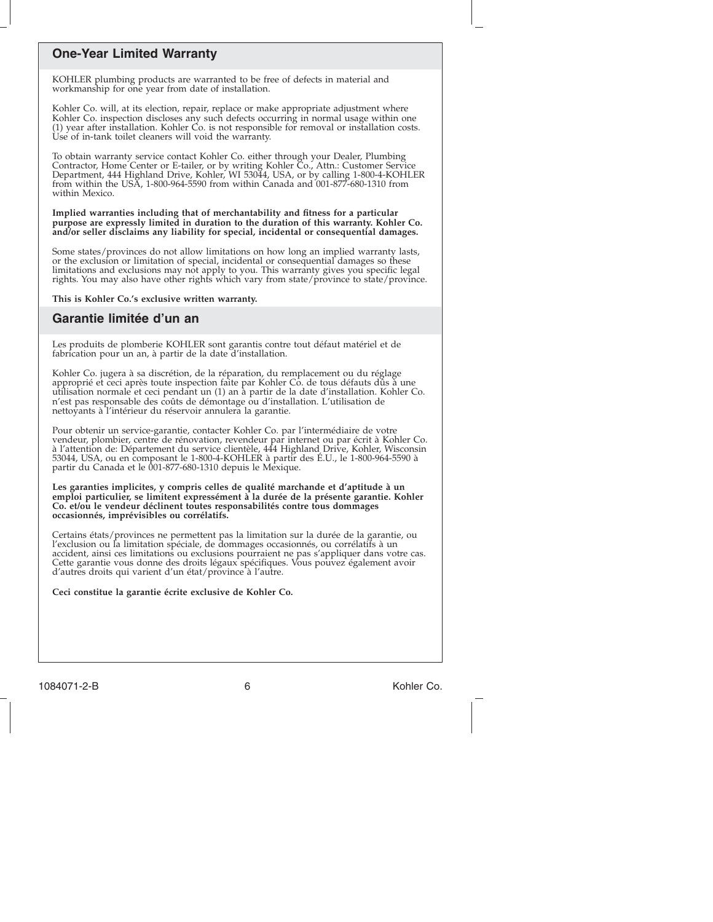#### **One-Year Limited Warranty**

KOHLER plumbing products are warranted to be free of defects in material and workmanship for one year from date of installation.

Kohler Co. will, at its election, repair, replace or make appropriate adjustment where Kohler Co. inspection discloses any such defects occurring in normal usage within one (1) year after installation. Kohler Co. is not responsible for removal or installation costs. Use of in-tank toilet cleaners will void the warranty.

To obtain warranty service contact Kohler Co. either through your Dealer, Plumbing<br>Contractor, Home Center or E-tailer, or by writing Kohler Co., Attn.: Customer Service<br>Department, 444 Highland Drive, Kohler, WI 53044, US from within the USA, 1-800-964-5590 from within Canada and 001-877-680-1310 from within Mexico.

**Implied warranties including that of merchantability and fitness for a particular purpose are expressly limited in duration to the duration of this warranty. Kohler Co. and/or seller disclaims any liability for special, incidental or consequential damages.**

Some states/provinces do not allow limitations on how long an implied warranty lasts, or the exclusion or limitation of special, incidental or consequential damages so these limitations and exclusions may not apply to you. This warranty gives you specific legal rights. You may also have other rights which vary from state/province to state/province.

**This is Kohler Co.'s exclusive written warranty.**

#### **Garantie limitée d'un an**

Les produits de plomberie KOHLER sont garantis contre tout défaut matériel et de fabrication pour un an, à partir de la date d'installation.

Kohler Co. jugera à sa discrétion, de la réparation, du remplacement ou du réglage approprié et ceci après toute inspection faite par Kohler Co. de tous défauts dûs à une utilisation normale et ceci pendant un (1) an à partir de la date d'installation. Kohler Co. n'est pas responsable des coûts de démontage ou d'installation. L'utilisation de nettoyants à l'intérieur du réservoir annulera la garantie.

Pour obtenir un service-garantie, contacter Kohler Co. par l'intermédiaire de votre<br>vendeur, plombier, centre de rénovation, revendeur par internet ou par écrit à Kohler Co.<br>à l'attention de: Département du service clientè partir du Canada et le 001-877-680-1310 depuis le Mexique.

**Les garanties implicites, y compris celles de qualité marchande et d'aptitude à un** emploi particulier, se limitent expressément à la durée de la présente garantie. Kohler **Co. et/ou le vendeur déclinent toutes responsabilités contre tous dommages occasionnés, imprévisibles ou corrélatifs.**

Certains états/provinces ne permettent pas la limitation sur la durée de la garantie, ou l'exclusion ou la limitation spéciale, de dommages occasionnés, ou corrélatifs à un accident, ainsi ces limitations ou exclusions pourraient ne pas s'appliquer dans votre cas. Cette garantie vous donne des droits légaux spécifiques. Vous pouvez également avoir d'autres droits qui varient d'un état/province à l'autre.

**Ceci constitue la garantie écrite exclusive de Kohler Co.**

1084071-2-B 6 Kohler Co.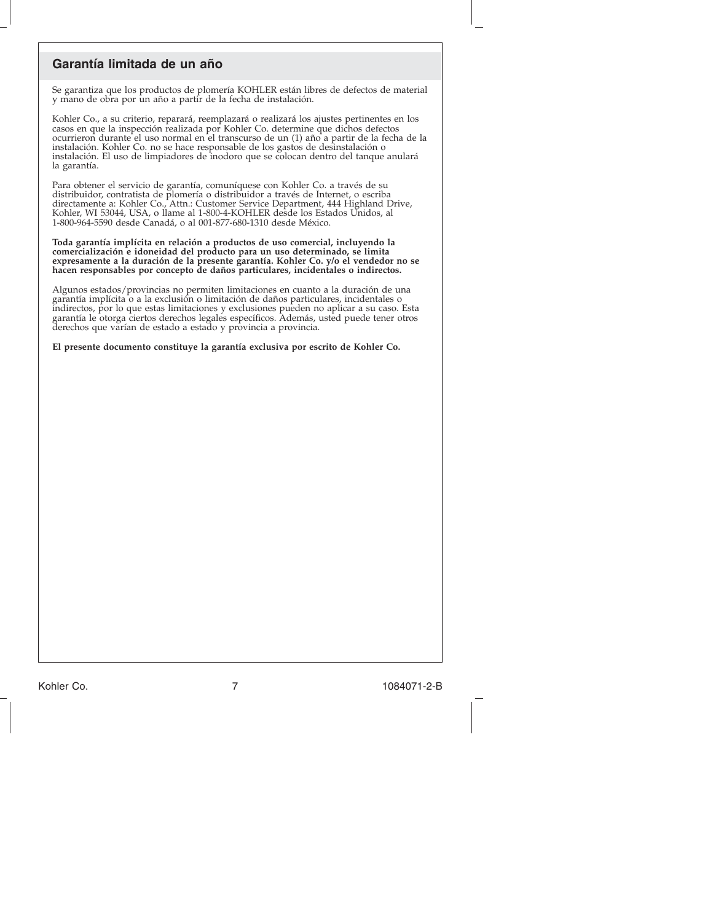#### **Garantía limitada de un año**

Se garantiza que los productos de plomería KOHLER están libres de defectos de material y mano de obra por un año a partir de la fecha de instalación.

Kohler Co., a su criterio, reparará, reemplazará o realizará los ajustes pertinentes en los casos en que la inspección realizada por Kohler Co. determine que dichos defectos ocurrieron durante el uso normal en el transcurso de un (1) año a partir de la fecha de la instalación. Kohler Co. no se hace responsable de los gastos de desinstalación o instalación. El uso de limpiadores de inodoro que se colocan dentro del tanque anulará la garantía.

Para obtener el servicio de garantía, comuníquese con Kohler Co. a través de su distribuidor, contratista de plomería o distribuidor a través de Internet, o escriba directamente a: Kohler Co., Attn.: Customer Service Department, 444 Highland Drive,<br>Kohler, WI 53044, USA, o llame al 1-800-4-KOHLER desde los Estados Unidos, al<br>1-800-964-5590 desde Canadá, o al 001-877-680-1310 desde Méx

**Toda garantía implícita en relación a productos de uso comercial, incluyendo la comercialización e idoneidad del producto para un uso determinado, se limita expresamente a la duración de la presente garantía. Kohler Co. y/o el vendedor no se hacen responsables por concepto de daños particulares, incidentales o indirectos.**

Algunos estados/provincias no permiten limitaciones en cuanto a la duración de una<br>garantía implícita o a la exclusión o limitación de daños particulares, incidentales o<br>indirectos, por lo que estas limitaciones y exclusio garantía le otorga ciertos derechos legales específicos. Además, usted puede tener otros derechos que varían de estado a estado y provincia a provincia.

**El presente documento constituye la garantía exclusiva por escrito de Kohler Co.**

Kohler Co. 7 1084071-2-B